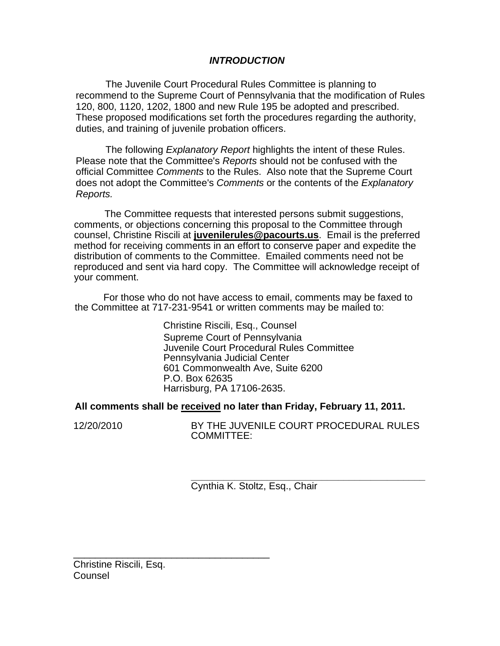# *INTRODUCTION*

The Juvenile Court Procedural Rules Committee is planning to recommend to the Supreme Court of Pennsylvania that the modification of Rules 120, 800, 1120, 1202, 1800 and new Rule 195 be adopted and prescribed. These proposed modifications set forth the procedures regarding the authority, duties, and training of juvenile probation officers.

The following *Explanatory Report* highlights the intent of these Rules. Please note that the Committee's *Reports* should not be confused with the official Committee *Comments* to the Rules. Also note that the Supreme Court does not adopt the Committee's *Comments* or the contents of the *Explanatory Reports.* 

The Committee requests that interested persons submit suggestions, comments, or objections concerning this proposal to the Committee through counsel, Christine Riscili at **juvenilerules@pacourts.us**. Email is the preferred method for receiving comments in an effort to conserve paper and expedite the distribution of comments to the Committee. Emailed comments need not be reproduced and sent via hard copy. The Committee will acknowledge receipt of your comment.

I For those who do not have access to email, comments may be faxed to the Committee at 717-231-9541 or written comments may be mailed to:

> Christine Riscili, Esq., Counsel Supreme Court of Pennsylvania Juvenile Court Procedural Rules Committee Pennsylvania Judicial Center 601 Commonwealth Ave, Suite 6200 P.O. Box 62635 Harrisburg, PA 17106-2635.

### **All comments shall be received no later than Friday, February 11, 2011.**

12/20/2010 BY THE JUVENILE COURT PROCEDURAL RULES COMMITTEE:

> **\_\_\_\_\_\_\_\_\_\_\_\_\_\_\_\_\_\_\_\_\_\_\_\_\_\_\_\_\_\_\_\_\_\_\_\_\_\_\_\_\_\_\_**  Cynthia K. Stoltz, Esq., Chair

Christine Riscili, Esq. Counsel

\_\_\_\_\_\_\_\_\_\_\_\_\_\_\_\_\_\_\_\_\_\_\_\_\_\_\_\_\_\_\_\_\_\_\_\_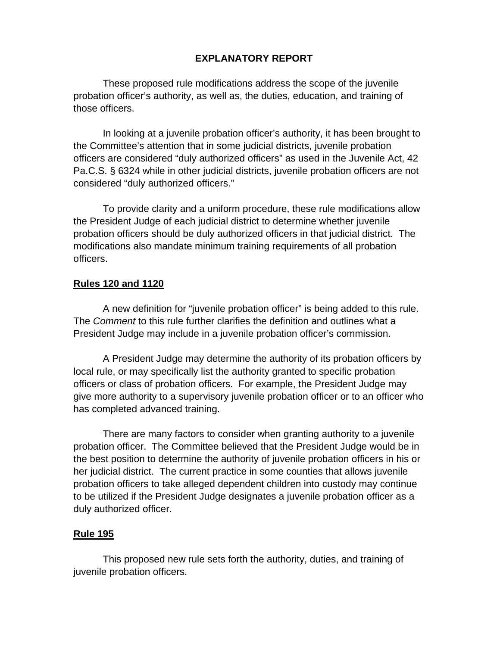# **EXPLANATORY REPORT**

These proposed rule modifications address the scope of the juvenile probation officer's authority, as well as, the duties, education, and training of those officers.

In looking at a juvenile probation officer's authority, it has been brought to the Committee's attention that in some judicial districts, juvenile probation officers are considered "duly authorized officers" as used in the Juvenile Act, 42 Pa.C.S. § 6324 while in other judicial districts, juvenile probation officers are not considered "duly authorized officers."

To provide clarity and a uniform procedure, these rule modifications allow the President Judge of each judicial district to determine whether juvenile probation officers should be duly authorized officers in that judicial district. The modifications also mandate minimum training requirements of all probation officers.

### **Rules 120 and 1120**

A new definition for "juvenile probation officer" is being added to this rule. The *Comment* to this rule further clarifies the definition and outlines what a President Judge may include in a juvenile probation officer's commission.

A President Judge may determine the authority of its probation officers by local rule, or may specifically list the authority granted to specific probation officers or class of probation officers. For example, the President Judge may give more authority to a supervisory juvenile probation officer or to an officer who has completed advanced training.

There are many factors to consider when granting authority to a juvenile probation officer. The Committee believed that the President Judge would be in the best position to determine the authority of juvenile probation officers in his or her judicial district. The current practice in some counties that allows juvenile probation officers to take alleged dependent children into custody may continue to be utilized if the President Judge designates a juvenile probation officer as a duly authorized officer.

### **Rule 195**

This proposed new rule sets forth the authority, duties, and training of juvenile probation officers.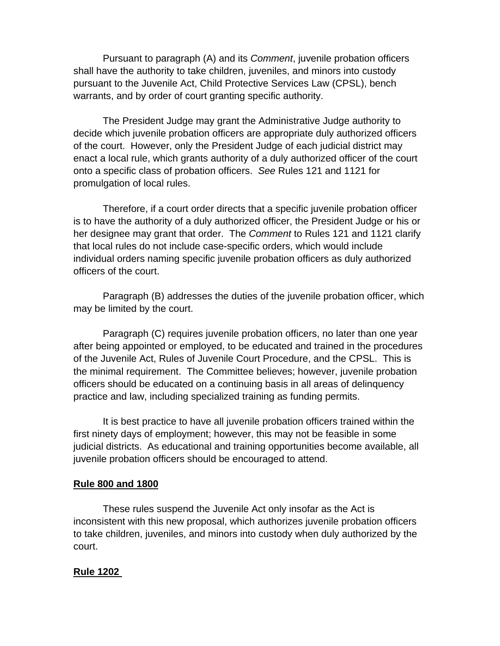Pursuant to paragraph (A) and its *Comment*, juvenile probation officers shall have the authority to take children, juveniles, and minors into custody pursuant to the Juvenile Act, Child Protective Services Law (CPSL), bench warrants, and by order of court granting specific authority.

The President Judge may grant the Administrative Judge authority to decide which juvenile probation officers are appropriate duly authorized officers of the court. However, only the President Judge of each judicial district may enact a local rule, which grants authority of a duly authorized officer of the court onto a specific class of probation officers. *See* Rules 121 and 1121 for promulgation of local rules.

Therefore, if a court order directs that a specific juvenile probation officer is to have the authority of a duly authorized officer, the President Judge or his or her designee may grant that order. The *Comment* to Rules 121 and 1121 clarify that local rules do not include case-specific orders, which would include individual orders naming specific juvenile probation officers as duly authorized officers of the court.

Paragraph (B) addresses the duties of the juvenile probation officer, which may be limited by the court.

Paragraph (C) requires juvenile probation officers, no later than one year after being appointed or employed, to be educated and trained in the procedures of the Juvenile Act, Rules of Juvenile Court Procedure, and the CPSL. This is the minimal requirement. The Committee believes; however, juvenile probation officers should be educated on a continuing basis in all areas of delinquency practice and law, including specialized training as funding permits.

It is best practice to have all juvenile probation officers trained within the first ninety days of employment; however, this may not be feasible in some judicial districts. As educational and training opportunities become available, all juvenile probation officers should be encouraged to attend.

### **Rule 800 and 1800**

These rules suspend the Juvenile Act only insofar as the Act is inconsistent with this new proposal, which authorizes juvenile probation officers to take children, juveniles, and minors into custody when duly authorized by the court.

## **Rule 1202**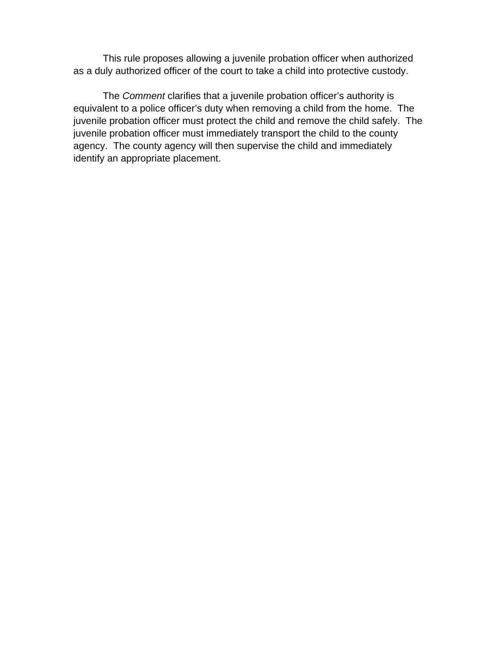This rule proposes allowing a juvenile probation officer when authorized as a duly authorized officer of the court to take a child into protective custody.

The *Comment* clarifies that a juvenile probation officer's authority is equivalent to a police officer's duty when removing a child from the home. The juvenile probation officer must protect the child and remove the child safely. The juvenile probation officer must immediately transport the child to the county agency. The county agency will then supervise the child and immediately identify an appropriate placement.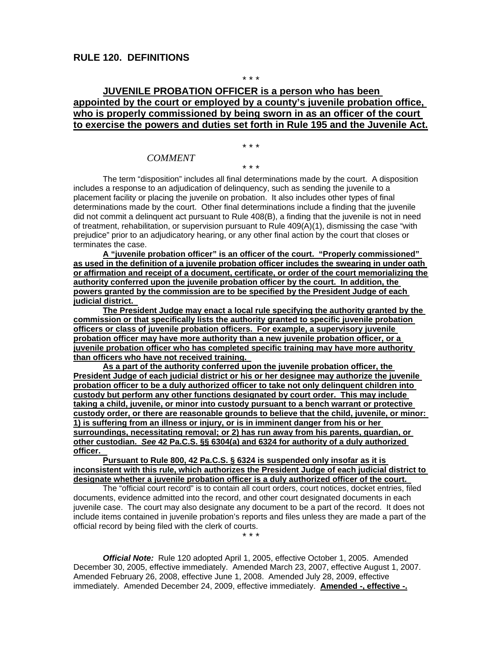#### \* \* \*

## **JUVENILE PROBATION OFFICER is a person who has been appointed by the court or employed by a county's juvenile probation office, who is properly commissioned by being sworn in as an officer of the court to exercise the powers and duties set forth in Rule 195 and the Juvenile Act.**

\* \* \*

\* \* \*

### *COMMENT*

The term "disposition" includes all final determinations made by the court. A disposition includes a response to an adjudication of delinquency, such as sending the juvenile to a placement facility or placing the juvenile on probation. It also includes other types of final determinations made by the court. Other final determinations include a finding that the juvenile did not commit a delinquent act pursuant to Rule 408(B), a finding that the juvenile is not in need of treatment, rehabilitation, or supervision pursuant to Rule 409(A)(1), dismissing the case "with prejudice" prior to an adjudicatory hearing, or any other final action by the court that closes or terminates the case.

**A "juvenile probation officer" is an officer of the court. "Properly commissioned" as used in the definition of a juvenile probation officer includes the swearing in under oath or affirmation and receipt of a document, certificate, or order of the court memorializing the authority conferred upon the juvenile probation officer by the court. In addition, the powers granted by the commission are to be specified by the President Judge of each judicial district.** 

**The President Judge may enact a local rule specifying the authority granted by the commission or that specifically lists the authority granted to specific juvenile probation officers or class of juvenile probation officers. For example, a supervisory juvenile probation officer may have more authority than a new juvenile probation officer, or a juvenile probation officer who has completed specific training may have more authority than officers who have not received training.** 

**As a part of the authority conferred upon the juvenile probation officer, the President Judge of each judicial district or his or her designee may authorize the juvenile probation officer to be a duly authorized officer to take not only delinquent children into custody but perform any other functions designated by court order. This may include taking a child, juvenile, or minor into custody pursuant to a bench warrant or protective custody order, or there are reasonable grounds to believe that the child, juvenile, or minor: 1) is suffering from an illness or injury, or is in imminent danger from his or her surroundings, necessitating removal; or 2) has run away from his parents, guardian, or other custodian.** *See* **42 Pa.C.S. §§ 6304(a) and 6324 for authority of a duly authorized officer.** 

**Pursuant to Rule 800, 42 Pa.C.S. § 6324 is suspended only insofar as it is inconsistent with this rule, which authorizes the President Judge of each judicial district to designate whether a juvenile probation officer is a duly authorized officer of the court.** 

The "official court record" is to contain all court orders, court notices, docket entries, filed documents, evidence admitted into the record, and other court designated documents in each juvenile case. The court may also designate any document to be a part of the record. It does not include items contained in juvenile probation's reports and files unless they are made a part of the official record by being filed with the clerk of courts. \* \* \*

*Official Note:* Rule 120 adopted April 1, 2005, effective October 1, 2005. Amended December 30, 2005, effective immediately. Amended March 23, 2007, effective August 1, 2007. Amended February 26, 2008, effective June 1, 2008. Amended July 28, 2009, effective immediately. Amended December 24, 2009, effective immediately. **Amended -, effective -.**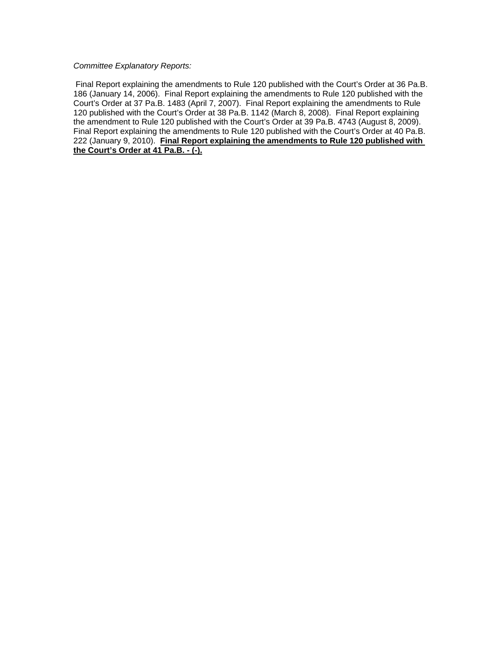*Committee Explanatory Reports:* 

Final Report explaining the amendments to Rule 120 published with the Court's Order at 36 Pa.B. 186 (January 14, 2006). Final Report explaining the amendments to Rule 120 published with the Court's Order at 37 Pa.B. 1483 (April 7, 2007). Final Report explaining the amendments to Rule 120 published with the Court's Order at 38 Pa.B. 1142 (March 8, 2008). Final Report explaining the amendment to Rule 120 published with the Court's Order at 39 Pa.B. 4743 (August 8, 2009). Final Report explaining the amendments to Rule 120 published with the Court's Order at 40 Pa.B. 222 (January 9, 2010). **Final Report explaining the amendments to Rule 120 published with the Court's Order at 41 Pa.B. - (-).**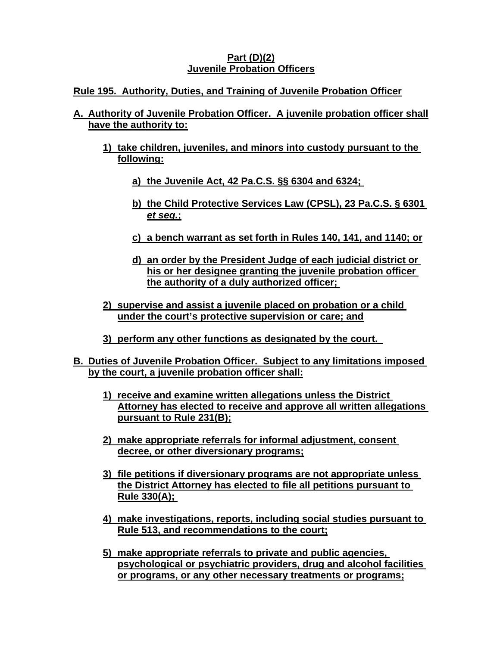# **Part (D)(2) Juvenile Probation Officers**

# **Rule 195. Authority, Duties, and Training of Juvenile Probation Officer**

- **A. Authority of Juvenile Probation Officer. A juvenile probation officer shall have the authority to:**
	- **1) take children, juveniles, and minors into custody pursuant to the following:**
		- **a) the Juvenile Act, 42 Pa.C.S. §§ 6304 and 6324;**
		- **b) the Child Protective Services Law (CPSL), 23 Pa.C.S. § 6301**  *et seq.***;**
		- **c) a bench warrant as set forth in Rules 140, 141, and 1140; or**
		- **d) an order by the President Judge of each judicial district or his or her designee granting the juvenile probation officer the authority of a duly authorized officer;**
	- **2) supervise and assist a juvenile placed on probation or a child under the court's protective supervision or care; and**
	- **3) perform any other functions as designated by the court.**
- **B. Duties of Juvenile Probation Officer. Subject to any limitations imposed by the court, a juvenile probation officer shall:**
	- **1) receive and examine written allegations unless the District Attorney has elected to receive and approve all written allegations pursuant to Rule 231(B);**
	- **2) make appropriate referrals for informal adjustment, consent decree, or other diversionary programs;**
	- **3) file petitions if diversionary programs are not appropriate unless the District Attorney has elected to file all petitions pursuant to Rule 330(A);**
	- **4) make investigations, reports, including social studies pursuant to Rule 513, and recommendations to the court;**
	- **5) make appropriate referrals to private and public agencies, psychological or psychiatric providers, drug and alcohol facilities or programs, or any other necessary treatments or programs;**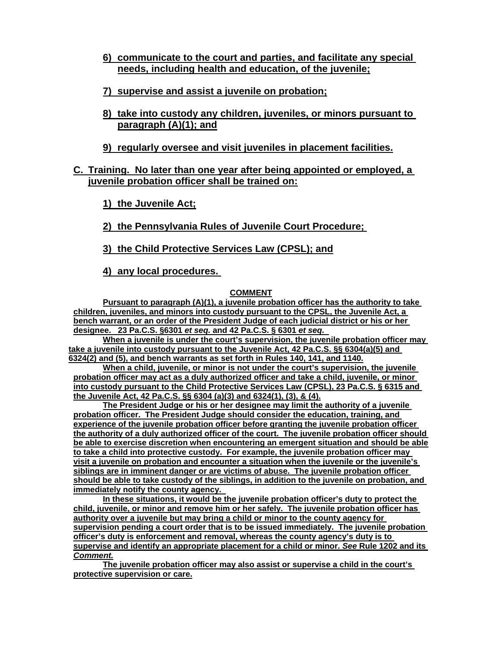- **6) communicate to the court and parties, and facilitate any special needs, including health and education, of the juvenile;**
- **7) supervise and assist a juvenile on probation;**
- **8) take into custody any children, juveniles, or minors pursuant to paragraph (A)(1); and**
- **9) regularly oversee and visit juveniles in placement facilities.**

## **C. Training. No later than one year after being appointed or employed, a juvenile probation officer shall be trained on:**

**1) the Juvenile Act;**

**2) the Pennsylvania Rules of Juvenile Court Procedure;** 

**3) the Child Protective Services Law (CPSL); and**

**4) any local procedures.** 

### **COMMENT**

**Pursuant to paragraph (A)(1), a juvenile probation officer has the authority to take children, juveniles, and minors into custody pursuant to the CPSL, the Juvenile Act, a bench warrant, or an order of the President Judge of each judicial district or his or her designee. 23 Pa.C.S. §6301** *et seq.* **and 42 Pa.C.S. § 6301** *et seq.* 

**When a juvenile is under the court's supervision, the juvenile probation officer may take a juvenile into custody pursuant to the Juvenile Act, 42 Pa.C.S. §§ 6304(a)(5) and 6324(2) and (5), and bench warrants as set forth in Rules 140, 141, and 1140.**

**When a child, juvenile, or minor is not under the court's supervision, the juvenile probation officer may act as a duly authorized officer and take a child, juvenile, or minor into custody pursuant to the Child Protective Services Law (CPSL), 23 Pa.C.S. § 6315 and the Juvenile Act, 42 Pa.C.S. §§ 6304 (a)(3) and 6324(1), (3), & (4).**

**The President Judge or his or her designee may limit the authority of a juvenile probation officer. The President Judge should consider the education, training, and experience of the juvenile probation officer before granting the juvenile probation officer the authority of a duly authorized officer of the court. The juvenile probation officer should be able to exercise discretion when encountering an emergent situation and should be able to take a child into protective custody. For example, the juvenile probation officer may visit a juvenile on probation and encounter a situation when the juvenile or the juvenile's siblings are in imminent danger or are victims of abuse. The juvenile probation officer should be able to take custody of the siblings, in addition to the juvenile on probation, and immediately notify the county agency.** 

**In these situations, it would be the juvenile probation officer's duty to protect the child, juvenile, or minor and remove him or her safely. The juvenile probation officer has authority over a juvenile but may bring a child or minor to the county agency for supervision pending a court order that is to be issued immediately. The juvenile probation officer's duty is enforcement and removal, whereas the county agency's duty is to supervise and identify an appropriate placement for a child or minor.** *See* **Rule 1202 and its**  *Comment.*

**The juvenile probation officer may also assist or supervise a child in the court's protective supervision or care.**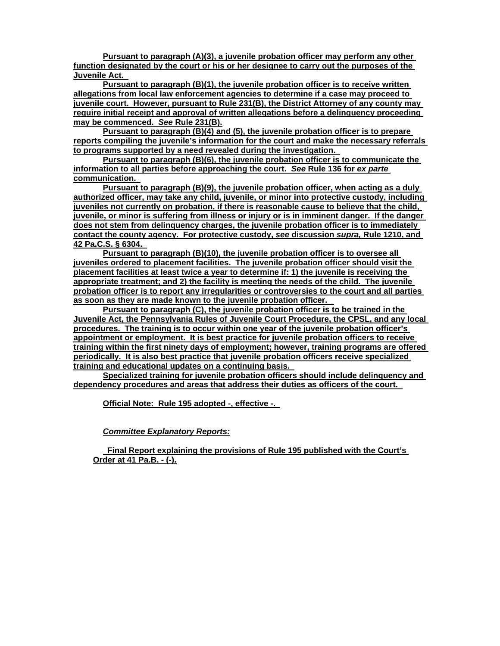**Pursuant to paragraph (A)(3), a juvenile probation officer may perform any other function designated by the court or his or her designee to carry out the purposes of the Juvenile Act.** 

**Pursuant to paragraph (B)(1), the juvenile probation officer is to receive written allegations from local law enforcement agencies to determine if a case may proceed to juvenile court. However, pursuant to Rule 231(B), the District Attorney of any county may require initial receipt and approval of written allegations before a delinquency proceeding may be commenced.** *See* **Rule 231(B).**

**Pursuant to paragraph (B)(4) and (5), the juvenile probation officer is to prepare reports compiling the juvenile's information for the court and make the necessary referrals to programs supported by a need revealed during the investigation.** 

**Pursuant to paragraph (B)(6), the juvenile probation officer is to communicate the information to all parties before approaching the court.** *See* **Rule 136 for** *ex parte*  **communication.** 

**Pursuant to paragraph (B)(9), the juvenile probation officer, when acting as a duly authorized officer, may take any child, juvenile, or minor into protective custody, including juveniles not currently on probation, if there is reasonable cause to believe that the child, juvenile, or minor is suffering from illness or injury or is in imminent danger. If the danger does not stem from delinquency charges, the juvenile probation officer is to immediately contact the county agency. For protective custody,** *see* **discussion** *supra,* **Rule 1210, and 42 Pa.C.S. § 6304.** 

**Pursuant to paragraph (B)(10), the juvenile probation officer is to oversee all juveniles ordered to placement facilities. The juvenile probation officer should visit the placement facilities at least twice a year to determine if: 1) the juvenile is receiving the appropriate treatment; and 2) the facility is meeting the needs of the child. The juvenile probation officer is to report any irregularities or controversies to the court and all parties as soon as they are made known to the juvenile probation officer.** 

**Pursuant to paragraph (C), the juvenile probation officer is to be trained in the Juvenile Act, the Pennsylvania Rules of Juvenile Court Procedure, the CPSL, and any local procedures. The training is to occur within one year of the juvenile probation officer's appointment or employment. It is best practice for juvenile probation officers to receive training within the first ninety days of employment; however, training programs are offered periodically. It is also best practice that juvenile probation officers receive specialized training and educational updates on a continuing basis.** 

**Specialized training for juvenile probation officers should include delinquency and dependency procedures and areas that address their duties as officers of the court.** 

**Official Note:****Rule 195 adopted -, effective -.** 

#### *Committee Explanatory Reports:*

**Final Report explaining the provisions of Rule 195 published with the Court's Order at 41 Pa.B. - (-).**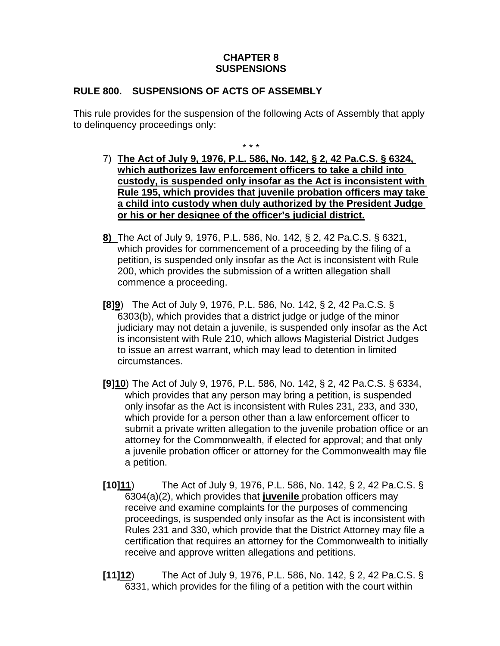# **CHAPTER 8 SUSPENSIONS**

# **RULE 800. SUSPENSIONS OF ACTS OF ASSEMBLY**

This rule provides for the suspension of the following Acts of Assembly that apply to delinquency proceedings only:

\* \* \*

- 7) **The Act of July 9, 1976, P.L. 586, No. 142, § 2, 42 Pa.C.S. § 6324, which authorizes law enforcement officers to take a child into custody, is suspended only insofar as the Act is inconsistent with Rule 195, which provides that juvenile probation officers may take a child into custody when duly authorized by the President Judge or his or her designee of the officer's judicial district.**
- **8)** The Act of July 9, 1976, P.L. 586, No. 142, § 2, 42 Pa.C.S. § 6321, which provides for commencement of a proceeding by the filing of a petition, is suspended only insofar as the Act is inconsistent with Rule 200, which provides the submission of a written allegation shall commence a proceeding.
- **[8]9**) The Act of July 9, 1976, P.L. 586, No. 142, § 2, 42 Pa.C.S. § 6303(b), which provides that a district judge or judge of the minor judiciary may not detain a juvenile, is suspended only insofar as the Act is inconsistent with Rule 210, which allows Magisterial District Judges to issue an arrest warrant, which may lead to detention in limited circumstances.
- **[9]10**) The Act of July 9, 1976, P.L. 586, No. 142, § 2, 42 Pa.C.S. § 6334, which provides that any person may bring a petition, is suspended only insofar as the Act is inconsistent with Rules 231, 233, and 330, which provide for a person other than a law enforcement officer to submit a private written allegation to the juvenile probation office or an attorney for the Commonwealth, if elected for approval; and that only a juvenile probation officer or attorney for the Commonwealth may file a petition.
- **[10]11**) The Act of July 9, 1976, P.L. 586, No. 142, § 2, 42 Pa.C.S. § 6304(a)(2), which provides that **juvenile** probation officers may receive and examine complaints for the purposes of commencing proceedings, is suspended only insofar as the Act is inconsistent with Rules 231 and 330, which provide that the District Attorney may file a certification that requires an attorney for the Commonwealth to initially receive and approve written allegations and petitions.
- **[11]12**) The Act of July 9, 1976, P.L. 586, No. 142, § 2, 42 Pa.C.S. § 6331, which provides for the filing of a petition with the court within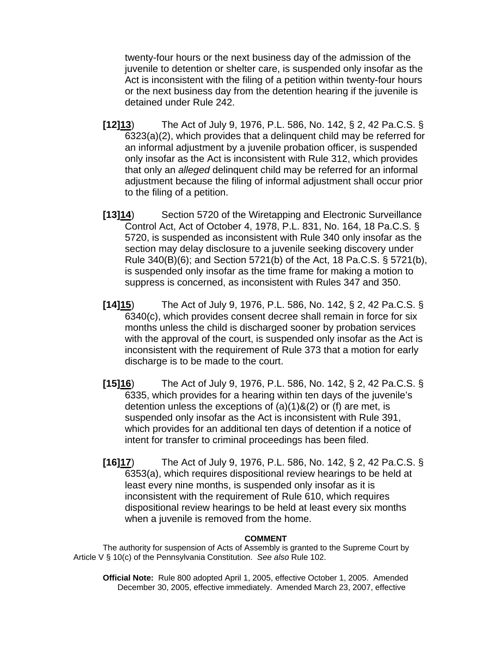twenty-four hours or the next business day of the admission of the juvenile to detention or shelter care, is suspended only insofar as the Act is inconsistent with the filing of a petition within twenty-four hours or the next business day from the detention hearing if the juvenile is detained under Rule 242.

- **[12]13**) The Act of July 9, 1976, P.L. 586, No. 142, § 2, 42 Pa.C.S. § 6323(a)(2), which provides that a delinquent child may be referred for an informal adjustment by a juvenile probation officer, is suspended only insofar as the Act is inconsistent with Rule 312, which provides that only an *alleged* delinquent child may be referred for an informal adjustment because the filing of informal adjustment shall occur prior to the filing of a petition.
- **[13]14**) Section 5720 of the Wiretapping and Electronic Surveillance Control Act, Act of October 4, 1978, P.L. 831, No. 164, 18 Pa.C.S. § 5720, is suspended as inconsistent with Rule 340 only insofar as the section may delay disclosure to a juvenile seeking discovery under Rule 340(B)(6); and Section 5721(b) of the Act, 18 Pa.C.S. § 5721(b), is suspended only insofar as the time frame for making a motion to suppress is concerned, as inconsistent with Rules 347 and 350.
- **[14]15**) The Act of July 9, 1976, P.L. 586, No. 142, § 2, 42 Pa.C.S. § 6340(c), which provides consent decree shall remain in force for six months unless the child is discharged sooner by probation services with the approval of the court, is suspended only insofar as the Act is inconsistent with the requirement of Rule 373 that a motion for early discharge is to be made to the court.
- **[15]16**) The Act of July 9, 1976, P.L. 586, No. 142, § 2, 42 Pa.C.S. § 6335, which provides for a hearing within ten days of the juvenile's detention unless the exceptions of  $(a)(1)$ & $(2)$  or  $(f)$  are met, is suspended only insofar as the Act is inconsistent with Rule 391, which provides for an additional ten days of detention if a notice of intent for transfer to criminal proceedings has been filed.
- **[16]17**) The Act of July 9, 1976, P.L. 586, No. 142, § 2, 42 Pa.C.S. § 6353(a), which requires dispositional review hearings to be held at least every nine months, is suspended only insofar as it is inconsistent with the requirement of Rule 610, which requires dispositional review hearings to be held at least every six months when a juvenile is removed from the home.

### **COMMENT**

The authority for suspension of Acts of Assembly is granted to the Supreme Court by Article V § 10(c) of the Pennsylvania Constitution. *See also* Rule 102.

**Official Note:**Rule 800 adopted April 1, 2005, effective October 1, 2005. Amended December 30, 2005, effective immediately. Amended March 23, 2007, effective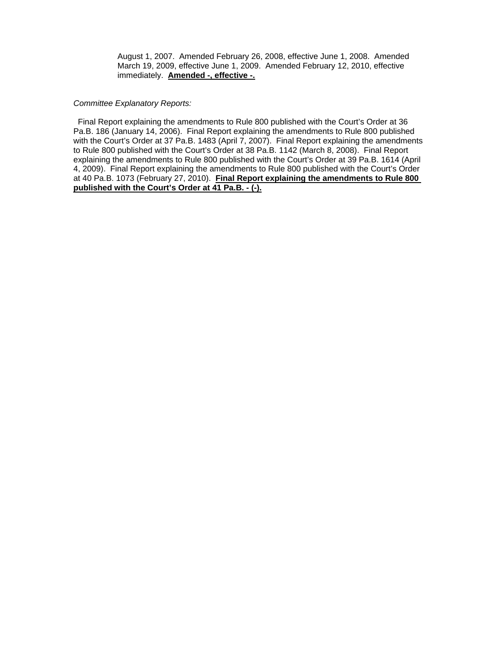August 1, 2007. Amended February 26, 2008, effective June 1, 2008. Amended March 19, 2009, effective June 1, 2009. Amended February 12, 2010, effective immediately. **Amended -, effective -.**

#### *Committee Explanatory Reports:*

Final Report explaining the amendments to Rule 800 published with the Court's Order at 36 Pa.B. 186 (January 14, 2006). Final Report explaining the amendments to Rule 800 published with the Court's Order at 37 Pa.B. 1483 (April 7, 2007). Final Report explaining the amendments to Rule 800 published with the Court's Order at 38 Pa.B. 1142 (March 8, 2008). Final Report explaining the amendments to Rule 800 published with the Court's Order at 39 Pa.B. 1614 (April 4, 2009). Final Report explaining the amendments to Rule 800 published with the Court's Order at 40 Pa.B. 1073 (February 27, 2010). **Final Report explaining the amendments to Rule 800 published with the Court's Order at 41 Pa.B. - (-).**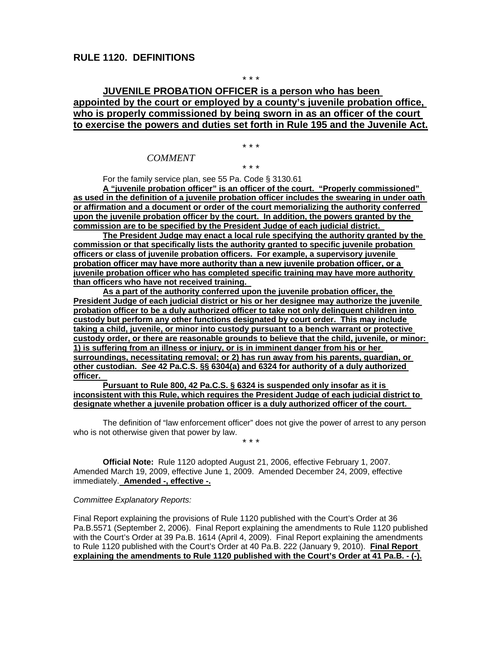\* \* \*

## **JUVENILE PROBATION OFFICER is a person who has been appointed by the court or employed by a county's juvenile probation office, who is properly commissioned by being sworn in as an officer of the court to exercise the powers and duties set forth in Rule 195 and the Juvenile Act.**

\* \* \*

\* \* \*

### *COMMENT*

For the family service plan, see 55 Pa. Code § 3130.61

**A "juvenile probation officer" is an officer of the court. "Properly commissioned" as used in the definition of a juvenile probation officer includes the swearing in under oath or affirmation and a document or order of the court memorializing the authority conferred upon the juvenile probation officer by the court. In addition, the powers granted by the commission are to be specified by the President Judge of each judicial district.** 

**The President Judge may enact a local rule specifying the authority granted by the commission or that specifically lists the authority granted to specific juvenile probation officers or class of juvenile probation officers. For example, a supervisory juvenile probation officer may have more authority than a new juvenile probation officer, or a juvenile probation officer who has completed specific training may have more authority than officers who have not received training.** 

**As a part of the authority conferred upon the juvenile probation officer, the President Judge of each judicial district or his or her designee may authorize the juvenile probation officer to be a duly authorized officer to take not only delinquent children into custody but perform any other functions designated by court order. This may include taking a child, juvenile, or minor into custody pursuant to a bench warrant or protective custody order, or there are reasonable grounds to believe that the child, juvenile, or minor: 1) is suffering from an illness or injury, or is in imminent danger from his or her surroundings, necessitating removal; or 2) has run away from his parents, guardian, or other custodian.** *See* **42 Pa.C.S. §§ 6304(a) and 6324 for authority of a duly authorized officer.** 

**Pursuant to Rule 800, 42 Pa.C.S. § 6324 is suspended only insofar as it is inconsistent with this Rule, which requires the President Judge of each judicial district to designate whether a juvenile probation officer is a duly authorized officer of the court.** 

The definition of "law enforcement officer" does not give the power of arrest to any person who is not otherwise given that power by law.

\* \* \*

**Official Note:** Rule 1120 adopted August 21, 2006, effective February 1, 2007. Amended March 19, 2009, effective June 1, 2009. Amended December 24, 2009, effective immediately. **Amended -, effective -.**

#### *Committee Explanatory Reports:*

Final Report explaining the provisions of Rule 1120 published with the Court's Order at 36 Pa.B.5571 (September 2, 2006). Final Report explaining the amendments to Rule 1120 published with the Court's Order at 39 Pa.B. 1614 (April 4, 2009). Final Report explaining the amendments to Rule 1120 published with the Court's Order at 40 Pa.B. 222 (January 9, 2010). **Final Report explaining the amendments to Rule 1120 published with the Court's Order at 41 Pa.B. - (-).**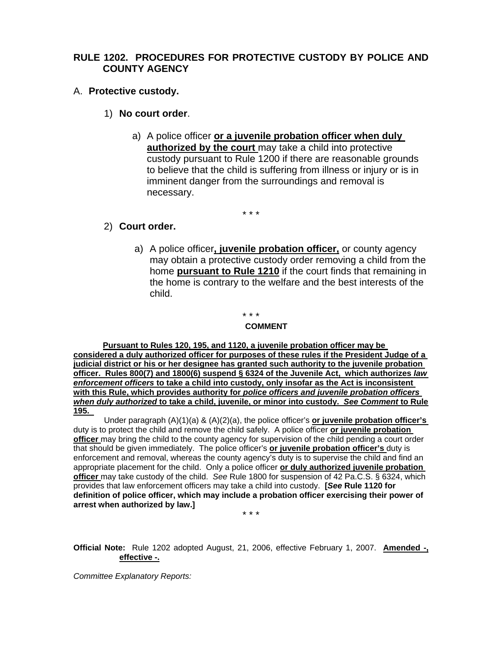# **RULE 1202. PROCEDURES FOR PROTECTIVE CUSTODY BY POLICE AND COUNTY AGENCY**

- A. **Protective custody.** 
	- 1) **No court order**.
		- a) A police officer **or a juvenile probation officer when duly authorized by the court** may take a child into protective custody pursuant to Rule 1200 if there are reasonable grounds to believe that the child is suffering from illness or injury or is in imminent danger from the surroundings and removal is necessary.

\* \* \*

## 2) **Court order.**

a) A police officer**, juvenile probation officer,** or county agency may obtain a protective custody order removing a child from the home **pursuant to Rule 1210** if the court finds that remaining in the home is contrary to the welfare and the best interests of the child.

\* \* \*

#### **COMMENT**

**Pursuant to Rules 120, 195, and 1120, a juvenile probation officer may be considered a duly authorized officer for purposes of these rules if the President Judge of a judicial district or his or her designee has granted such authority to the juvenile probation officer. Rules 800(7) and 1800(6) suspend § 6324 of the Juvenile Act, which authorizes** *law enforcement officers* **to take a child into custody, only insofar as the Act is inconsistent with this Rule, which provides authority for** *police officers and juvenile probation officers when duly authorized* **to take a child, juvenile, or minor into custody.** *See Comment* **to Rule 195.** 

Under paragraph (A)(1)(a) & (A)(2)(a), the police officer's **or juvenile probation officer's**  duty is to protect the child and remove the child safely. A police officer **or juvenile probation officer** may bring the child to the county agency for supervision of the child pending a court order that should be given immediately. The police officer's **or juvenile probation officer's** duty is enforcement and removal, whereas the county agency's duty is to supervise the child and find an appropriate placement for the child. Only a police officer **or duly authorized juvenile probation officer** may take custody of the child. *See* Rule 1800 for suspension of 42 Pa.C.S. § 6324, which provides that law enforcement officers may take a child into custody. **[***See* **Rule 1120 for definition of police officer, which may include a probation officer exercising their power of arrest when authorized by law.]** 

\* \* \*

**Official Note:** Rule 1202 adopted August, 21, 2006, effective February 1, 2007. **Amended -, effective -.**

*Committee Explanatory Reports:*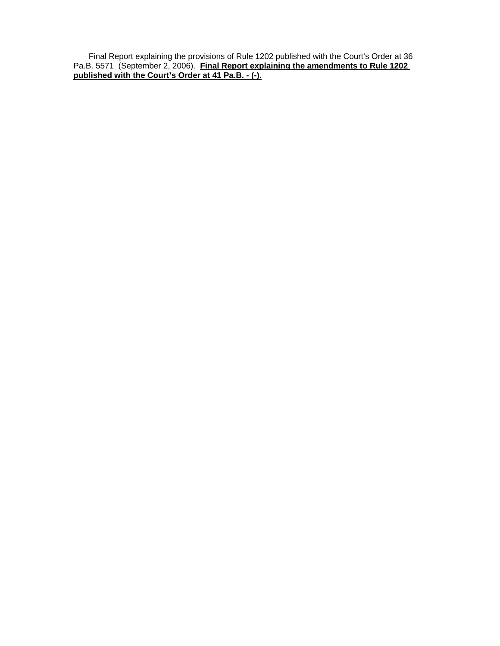Final Report explaining the provisions of Rule 1202 published with the Court's Order at 36 Pa.B. 5571 (September 2, 2006). **Final Report explaining the amendments to Rule 1202 published with the Court's Order at 41 Pa.B. - (-).**